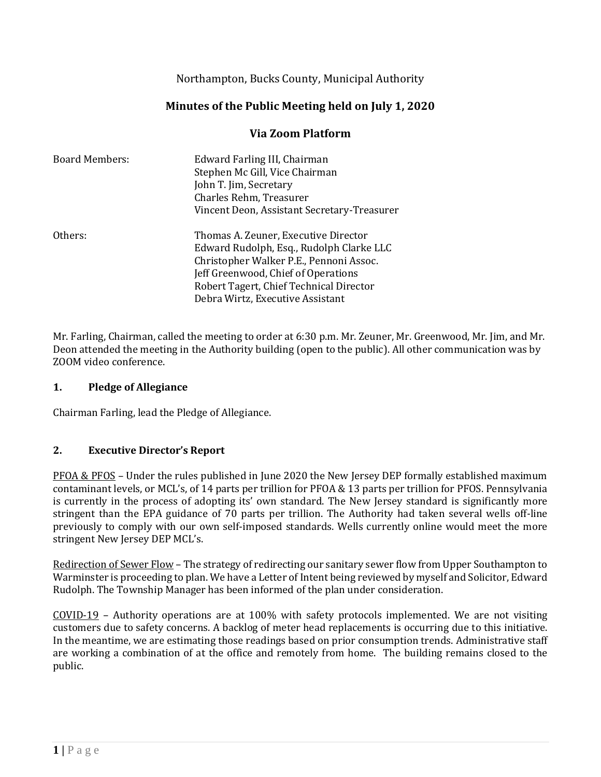Northampton, Bucks County, Municipal Authority

# **Minutes of the Public Meeting held on July 1, 2020**

### **Via Zoom Platform**

| <b>Board Members:</b> | Edward Farling III, Chairman<br>Stephen Mc Gill, Vice Chairman<br>John T. Jim, Secretary<br>Charles Rehm, Treasurer<br>Vincent Deon, Assistant Secretary-Treasurer                                                                                |
|-----------------------|---------------------------------------------------------------------------------------------------------------------------------------------------------------------------------------------------------------------------------------------------|
| Others:               | Thomas A. Zeuner, Executive Director<br>Edward Rudolph, Esq., Rudolph Clarke LLC<br>Christopher Walker P.E., Pennoni Assoc.<br>Jeff Greenwood, Chief of Operations<br>Robert Tagert, Chief Technical Director<br>Debra Wirtz, Executive Assistant |

Mr. Farling, Chairman, called the meeting to order at 6:30 p.m. Mr. Zeuner, Mr. Greenwood, Mr. Jim, and Mr. Deon attended the meeting in the Authority building (open to the public). All other communication was by ZOOM video conference.

#### **1. Pledge of Allegiance**

Chairman Farling, lead the Pledge of Allegiance.

#### **2. Executive Director's Report**

PFOA & PFOS – Under the rules published in June 2020 the New Jersey DEP formally established maximum contaminant levels, or MCL's, of 14 parts per trillion for PFOA & 13 parts per trillion for PFOS. Pennsylvania is currently in the process of adopting its' own standard. The New Jersey standard is significantly more stringent than the EPA guidance of 70 parts per trillion. The Authority had taken several wells off-line previously to comply with our own self-imposed standards. Wells currently online would meet the more stringent New Jersey DEP MCL's.

Redirection of Sewer Flow – The strategy of redirecting our sanitary sewer flow from Upper Southampton to Warminster is proceeding to plan. We have a Letter of Intent being reviewed by myself and Solicitor, Edward Rudolph. The Township Manager has been informed of the plan under consideration.

COVID-19 – Authority operations are at 100% with safety protocols implemented. We are not visiting customers due to safety concerns. A backlog of meter head replacements is occurring due to this initiative. In the meantime, we are estimating those readings based on prior consumption trends. Administrative staff are working a combination of at the office and remotely from home. The building remains closed to the public.